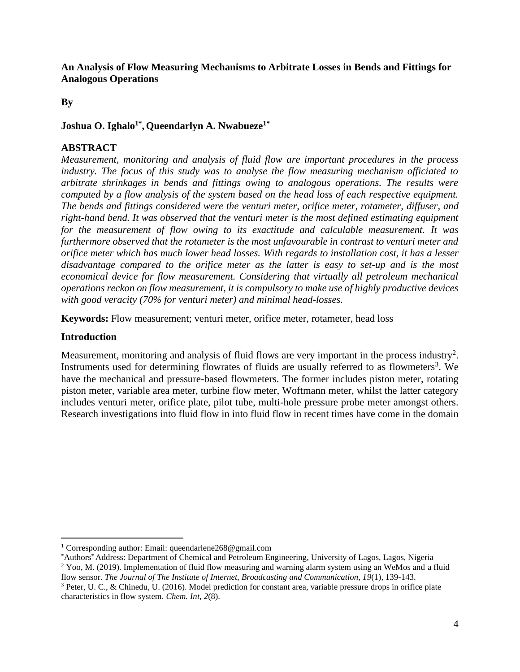**By**

# **Joshua O. Ighalo1\* , Queendarlyn A. Nwabueze1\***

# **ABSTRACT**

*Measurement, monitoring and analysis of fluid flow are important procedures in the process industry. The focus of this study was to analyse the flow measuring mechanism officiated to arbitrate shrinkages in bends and fittings owing to analogous operations. The results were computed by a flow analysis of the system based on the head loss of each respective equipment. The bends and fittings considered were the venturi meter, orifice meter, rotameter, diffuser, and right-hand bend. It was observed that the venturi meter is the most defined estimating equipment for the measurement of flow owing to its exactitude and calculable measurement. It was furthermore observed that the rotameter is the most unfavourable in contrast to venturi meter and orifice meter which has much lower head losses. With regards to installation cost, it has a lesser disadvantage compared to the orifice meter as the latter is easy to set-up and is the most economical device for flow measurement. Considering that virtually all petroleum mechanical operations reckon on flow measurement, it is compulsory to make use of highly productive devices with good veracity (70% for venturi meter) and minimal head-losses.*

**Keywords:** Flow measurement; venturi meter, orifice meter, rotameter, head loss

## **Introduction**

Measurement, monitoring and analysis of fluid flows are very important in the process industry<sup>2</sup>. Instruments used for determining flowrates of fluids are usually referred to as flowmeters<sup>3</sup>. We have the mechanical and pressure-based flowmeters. The former includes piston meter, rotating piston meter, variable area meter, turbine flow meter, Woftmann meter, whilst the latter category includes venturi meter, orifice plate, pilot tube, multi-hole pressure probe meter amongst others. Research investigations into fluid flow in into fluid flow in recent times have come in the domain

<sup>&</sup>lt;sup>1</sup> Corresponding author: Email[: queendarlene268@gmail.com](mailto:queendarlene268@gmail.com)

<sup>\*</sup>Authors\* Address: Department of Chemical and Petroleum Engineering, University of Lagos, Lagos, Nigeria

<sup>&</sup>lt;sup>2</sup> Yoo, M. (2019). Implementation of fluid flow measuring and warning alarm system using an WeMos and a fluid flow sensor. *The Journal of The Institute of Internet, Broadcasting and Communication, 19*(1), 139-143.

<sup>3</sup> Peter, U. C., & Chinedu, U. (2016). Model prediction for constant area, variable pressure drops in orifice plate characteristics in flow system. *Chem. Int, 2*(8).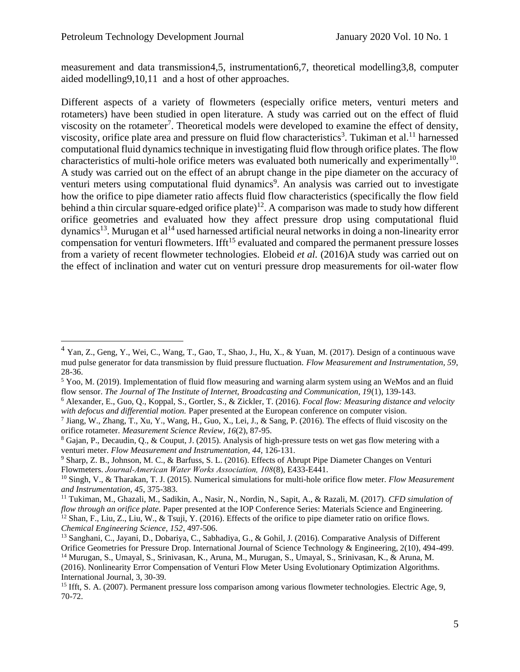measurement and data transmission4,5, instrumentation6,7, theoretical modelling3,8, computer aided modelling9,10,11 and a host of other approaches.

Different aspects of a variety of flowmeters (especially orifice meters, venturi meters and rotameters) have been studied in open literature. A study was carried out on the effect of fluid viscosity on the rotameter<sup>7</sup>. Theoretical models were developed to examine the effect of density, viscosity, orifice plate area and pressure on fluid flow characteristics<sup>3</sup>. Tukiman et al.<sup>11</sup> harnessed computational fluid dynamics technique in investigating fluid flow through orifice plates. The flow characteristics of multi-hole orifice meters was evaluated both numerically and experimentally<sup>10</sup>. A study was carried out on the effect of an abrupt change in the pipe diameter on the accuracy of venturi meters using computational fluid dynamics<sup>9</sup>. An analysis was carried out to investigate how the orifice to pipe diameter ratio affects fluid flow characteristics (specifically the flow field behind a thin circular square-edged orifice plate)<sup>12</sup>. A comparison was made to study how different orifice geometries and evaluated how they affect pressure drop using computational fluid dynamics<sup>13</sup>. Murugan et al<sup>14</sup> used harnessed artificial neural networks in doing a non-linearity error compensation for venturi flowmeters. If  $ft^{15}$  evaluated and compared the permanent pressure losses from a variety of recent flowmeter technologies. Elobeid *et al.* (2016)A study was carried out on the effect of inclination and water cut on venturi pressure drop measurements for oil-water flow

 $4$  Yan, Z., Geng, Y., Wei, C., Wang, T., Gao, T., Shao, J., Hu, X., & Yuan, M. (2017). Design of a continuous wave mud pulse generator for data transmission by fluid pressure fluctuation. *Flow Measurement and Instrumentation, 59*, 28-36.

<sup>5</sup> Yoo, M. (2019). Implementation of fluid flow measuring and warning alarm system using an WeMos and an fluid flow sensor. *The Journal of The Institute of Internet, Broadcasting and Communication, 19*(1), 139-143.

<sup>6</sup> Alexander, E., Guo, Q., Koppal, S., Gortler, S., & Zickler, T. (2016). *Focal flow: Measuring distance and velocity with defocus and differential motion.* Paper presented at the European conference on computer vision.

<sup>7</sup> Jiang, W., Zhang, T., Xu, Y., Wang, H., Guo, X., Lei, J., & Sang, P. (2016). The effects of fluid viscosity on the orifice rotameter. *Measurement Science Review, 16*(2), 87-95.

<sup>8</sup> Gajan, P., Decaudin, Q., & Couput, J. (2015). Analysis of high-pressure tests on wet gas flow metering with a venturi meter. *Flow Measurement and Instrumentation, 44*, 126-131.

<sup>9</sup> Sharp, Z. B., Johnson, M. C., & Barfuss, S. L. (2016). Effects of Abrupt Pipe Diameter Changes on Venturi Flowmeters. *Journal‐American Water Works Association, 108*(8), E433-E441.

<sup>10</sup> Singh, V., & Tharakan, T. J. (2015). Numerical simulations for multi-hole orifice flow meter. *Flow Measurement and Instrumentation, 45*, 375-383.

<sup>11</sup> Tukiman, M., Ghazali, M., Sadikin, A., Nasir, N., Nordin, N., Sapit, A., & Razali, M. (2017). *CFD simulation of flow through an orifice plate.* Paper presented at the IOP Conference Series: Materials Science and Engineering. <sup>12</sup> Shan, F., Liu, Z., Liu, W., & Tsuji, Y. (2016). Effects of the orifice to pipe diameter ratio on orifice flows. *Chemical Engineering Science, 152*, 497-506.

<sup>13</sup> Sanghani, C., Jayani, D., Dobariya, C., Sabhadiya, G., & Gohil, J. (2016). Comparative Analysis of Different Orifice Geometries for Pressure Drop. International Journal of Science Technology & Engineering, 2(10), 494-499.

<sup>14</sup> Murugan, S., Umayal, S., Srinivasan, K., Aruna, M., Murugan, S., Umayal, S., Srinivasan, K., & Aruna, M. (2016). Nonlinearity Error Compensation of Venturi Flow Meter Using Evolutionary Optimization Algorithms. International Journal, 3, 30-39.

<sup>&</sup>lt;sup>15</sup> Ifft, S. A. (2007). Permanent pressure loss comparison among various flowmeter technologies. Electric Age, 9, 70-72.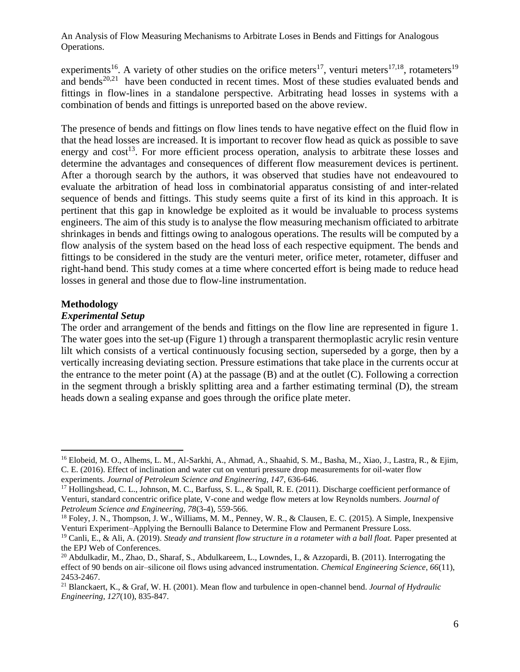experiments<sup>16</sup>. A variety of other studies on the orifice meters<sup>17</sup>, venturi meters<sup>17,18</sup>, rotameters<sup>19</sup> and bends<sup>20,21</sup> have been conducted in recent times. Most of these studies evaluated bends and fittings in flow-lines in a standalone perspective. Arbitrating head losses in systems with a combination of bends and fittings is unreported based on the above review.

The presence of bends and fittings on flow lines tends to have negative effect on the fluid flow in that the head losses are increased. It is important to recover flow head as quick as possible to save energy and  $cost^{13}$ . For more efficient process operation, analysis to arbitrate these losses and determine the advantages and consequences of different flow measurement devices is pertinent. After a thorough search by the authors, it was observed that studies have not endeavoured to evaluate the arbitration of head loss in combinatorial apparatus consisting of and inter-related sequence of bends and fittings. This study seems quite a first of its kind in this approach. It is pertinent that this gap in knowledge be exploited as it would be invaluable to process systems engineers. The aim of this study is to analyse the flow measuring mechanism officiated to arbitrate shrinkages in bends and fittings owing to analogous operations. The results will be computed by a flow analysis of the system based on the head loss of each respective equipment. The bends and fittings to be considered in the study are the venturi meter, orifice meter, rotameter, diffuser and right-hand bend. This study comes at a time where concerted effort is being made to reduce head losses in general and those due to flow-line instrumentation.

#### **Methodology**

#### *Experimental Setup*

The order and arrangement of the bends and fittings on the flow line are represented in figure 1. The water goes into the set-up (Figure 1) through a transparent thermoplastic acrylic resin venture lilt which consists of a vertical continuously focusing section, superseded by a gorge, then by a vertically increasing deviating section. Pressure estimations that take place in the currents occur at the entrance to the meter point  $(A)$  at the passage  $(B)$  and at the outlet  $(C)$ . Following a correction in the segment through a briskly splitting area and a farther estimating terminal (D), the stream heads down a sealing expanse and goes through the orifice plate meter.

<sup>&</sup>lt;sup>16</sup> Elobeid, M. O., Alhems, L. M., Al-Sarkhi, A., Ahmad, A., Shaahid, S. M., Basha, M., Xiao, J., Lastra, R., & Ejim, C. E. (2016). Effect of inclination and water cut on venturi pressure drop measurements for oil-water flow experiments. *Journal of Petroleum Science and Engineering, 147*, 636-646.

<sup>&</sup>lt;sup>17</sup> Hollingshead, C. L., Johnson, M. C., Barfuss, S. L., & Spall, R. E. (2011). Discharge coefficient performance of Venturi, standard concentric orifice plate, V-cone and wedge flow meters at low Reynolds numbers. *Journal of Petroleum Science and Engineering, 78*(3-4), 559-566.

<sup>&</sup>lt;sup>18</sup> Foley, J. N., Thompson, J. W., Williams, M. M., Penney, W. R., & Clausen, E. C. (2015). A Simple, Inexpensive Venturi Experiment–Applying the Bernoulli Balance to Determine Flow and Permanent Pressure Loss.

<sup>19</sup> Canli, E., & Ali, A. (2019). *Steady and transient flow structure in a rotameter with a ball float.* Paper presented at the EPJ Web of Conferences.

<sup>&</sup>lt;sup>20</sup> Abdulkadir, M., Zhao, D., Sharaf, S., Abdulkareem, L., Lowndes, I., & Azzopardi, B. (2011). Interrogating the effect of 90 bends on air–silicone oil flows using advanced instrumentation. *Chemical Engineering Science, 66*(11), 2453-2467.

<sup>21</sup> Blanckaert, K., & Graf, W. H. (2001). Mean flow and turbulence in open-channel bend. *Journal of Hydraulic Engineering, 127*(10), 835-847.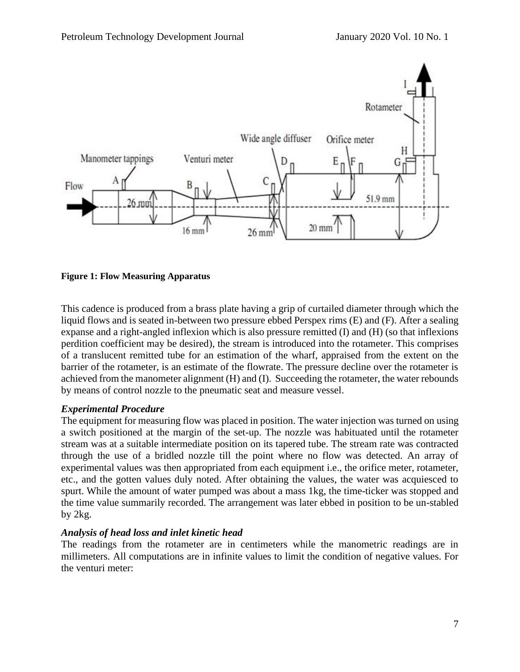

**Figure 1: Flow Measuring Apparatus**

This cadence is produced from a brass plate having a grip of curtailed diameter through which the liquid flows and is seated in-between two pressure ebbed Perspex rims (E) and (F). After a sealing expanse and a right-angled inflexion which is also pressure remitted (I) and (H) (so that inflexions perdition coefficient may be desired), the stream is introduced into the rotameter. This comprises of a translucent remitted tube for an estimation of the wharf, appraised from the extent on the barrier of the rotameter, is an estimate of the flowrate. The pressure decline over the rotameter is achieved from the manometer alignment (H) and (I). Succeeding the rotameter, the water rebounds by means of control nozzle to the pneumatic seat and measure vessel.

## *Experimental Procedure*

The equipment for measuring flow was placed in position. The water injection was turned on using a switch positioned at the margin of the set-up. The nozzle was habituated until the rotameter stream was at a suitable intermediate position on its tapered tube. The stream rate was contracted through the use of a bridled nozzle till the point where no flow was detected. An array of experimental values was then appropriated from each equipment i.e., the orifice meter, rotameter, etc., and the gotten values duly noted. After obtaining the values, the water was acquiesced to spurt. While the amount of water pumped was about a mass 1kg, the time-ticker was stopped and the time value summarily recorded. The arrangement was later ebbed in position to be un-stabled by 2kg.

#### *Analysis of head loss and inlet kinetic head*

The readings from the rotameter are in centimeters while the manometric readings are in millimeters. All computations are in infinite values to limit the condition of negative values. For the venturi meter: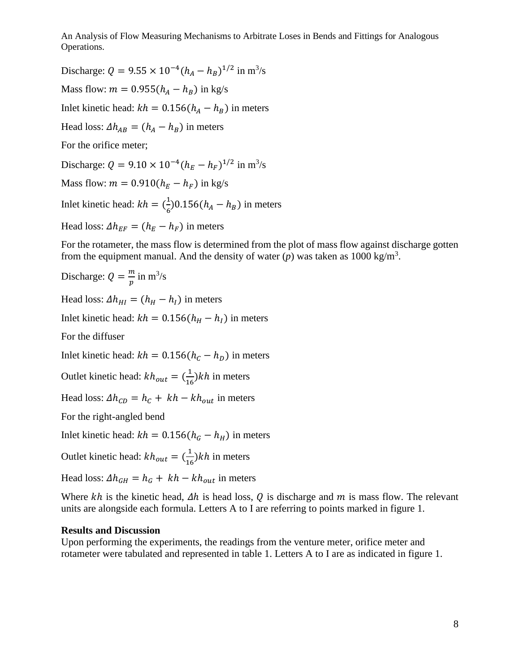Discharge:  $Q = 9.55 \times 10^{-4} (h_A - h_B)^{1/2}$  in m<sup>3</sup>/s Mass flow:  $m = 0.955(h_A - h_B)$  in kg/s Inlet kinetic head:  $kh = 0.156(h_A - h_B)$  in meters Head loss:  $\Delta h_{AB} = (h_A - h_B)$  in meters For the orifice meter; Discharge:  $Q = 9.10 \times 10^{-4} (h_E - h_F)^{1/2}$  in m<sup>3</sup>/s Mass flow:  $m = 0.910(h_E - h_F)$  in kg/s Inlet kinetic head:  $kh = (\frac{1}{6})$  $\frac{1}{6}$ )0.156( $h_A - h_B$ ) in meters Head loss:  $\Delta h_{EF} = (h_E - h_F)$  in meters

For the rotameter, the mass flow is determined from the plot of mass flow against discharge gotten from the equipment manual. And the density of water  $(p)$  was taken as 1000 kg/m<sup>3</sup>.

Discharge:  $Q = \frac{m}{n}$  $\frac{m}{p}$  in m<sup>3</sup>/s

Head loss:  $\Delta h_{HI} = (h_H - h_I)$  in meters

Inlet kinetic head:  $kh = 0.156(h<sub>H</sub> - h<sub>I</sub>)$  in meters

For the diffuser

Inlet kinetic head:  $kh = 0.156(h_c - h_p)$  in meters

Outlet kinetic head:  $kh_{out} = (\frac{1}{16})$  $\frac{1}{16}$ )*kh* in meters

Head loss:  $\Delta h_{CD} = h_c + kh - kh_{out}$  in meters

For the right-angled bend

Inlet kinetic head:  $kh = 0.156(h<sub>G</sub> - h<sub>H</sub>)$  in meters

Outlet kinetic head:  $kh_{out} = (\frac{1}{16})$  $\frac{1}{16}$ )*kh* in meters

Head loss:  $\Delta h_{GH} = h_G + kh - kh_{out}$  in meters

Where  $kh$  is the kinetic head,  $\Delta h$  is head loss, Q is discharge and m is mass flow. The relevant units are alongside each formula. Letters A to I are referring to points marked in figure 1.

#### **Results and Discussion**

Upon performing the experiments, the readings from the venture meter, orifice meter and rotameter were tabulated and represented in table 1. Letters A to I are as indicated in figure 1.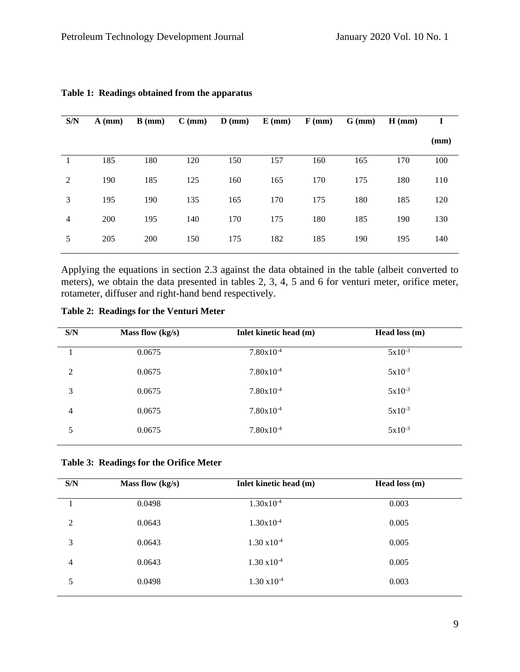| S/N            | $A$ (mm) | $B$ (mm) | $C$ (mm) | $\mathbf{D}$ (mm) | $E$ (mm) | $F$ (mm) | $G$ (mm) | $H$ (mm) | 1    |
|----------------|----------|----------|----------|-------------------|----------|----------|----------|----------|------|
|                |          |          |          |                   |          |          |          |          | (mm) |
|                | 185      | 180      | 120      | 150               | 157      | 160      | 165      | 170      | 100  |
| 2              | 190      | 185      | 125      | 160               | 165      | 170      | 175      | 180      | 110  |
| 3              | 195      | 190      | 135      | 165               | 170      | 175      | 180      | 185      | 120  |
| $\overline{4}$ | 200      | 195      | 140      | 170               | 175      | 180      | 185      | 190      | 130  |
| 5              | 205      | 200      | 150      | 175               | 182      | 185      | 190      | 195      | 140  |

## **Table 1: Readings obtained from the apparatus**

Applying the equations in section 2.3 against the data obtained in the table (albeit converted to meters), we obtain the data presented in tables 2, 3, 4, 5 and 6 for venturi meter, orifice meter, rotameter, diffuser and right-hand bend respectively.

# **Table 2: Readings for the Venturi Meter**

| S/N            | Mass flow (kg/s) | Inlet kinetic head (m) | Head loss (m) |
|----------------|------------------|------------------------|---------------|
|                | 0.0675           | $7.80x10^{-4}$         | $5x10^{-3}$   |
| $\overline{2}$ | 0.0675           | $7.80x10^{-4}$         | $5x10^{-3}$   |
| 3              | 0.0675           | $7.80x10^{-4}$         | $5x10^{-3}$   |
| 4              | 0.0675           | $7.80x10^{-4}$         | $5x10^{-3}$   |
| 5              | 0.0675           | $7.80x10^{-4}$         | $5x10^{-3}$   |
|                |                  |                        |               |

|  | Table 3: Readings for the Orifice Meter |  |  |  |
|--|-----------------------------------------|--|--|--|
|--|-----------------------------------------|--|--|--|

| S/N | Mass flow (kg/s) | Inlet kinetic head (m) | Head loss $(m)$ |
|-----|------------------|------------------------|-----------------|
| 1   | 0.0498           | $1.30x10^{-4}$         | 0.003           |
| 2   | 0.0643           | $1.30x10^{-4}$         | 0.005           |
| 3   | 0.0643           | $1.30 \times 10^{-4}$  | 0.005           |
| 4   | 0.0643           | $1.30 \times 10^{-4}$  | 0.005           |
| 5   | 0.0498           | $1.30 \times 10^{-4}$  | 0.003           |
|     |                  |                        |                 |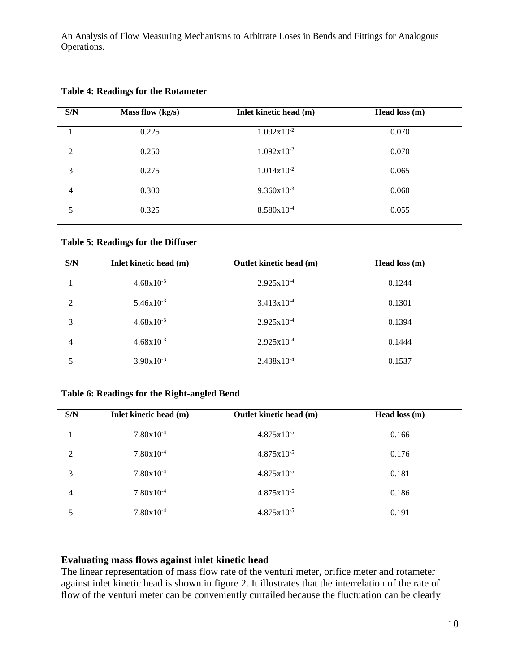| S/N | Mass flow $(kg/s)$ | Inlet kinetic head (m) | Head loss (m) |
|-----|--------------------|------------------------|---------------|
|     | 0.225              | $1.092x10^{-2}$        | 0.070         |
| 2   | 0.250              | $1.092x10^{-2}$        | 0.070         |
| 3   | 0.275              | $1.014x10^{-2}$        | 0.065         |
| 4   | 0.300              | $9.360 \times 10^{-3}$ | 0.060         |
| 5   | 0.325              | 8.580x10 <sup>-4</sup> | 0.055         |
|     |                    |                        |               |

**Table 4: Readings for the Rotameter**

**Table 5: Readings for the Diffuser**

| S/N            | Inlet kinetic head (m) | Outlet kinetic head (m) | Head loss $(m)$ |
|----------------|------------------------|-------------------------|-----------------|
|                | $4.68x10^{-3}$         | $2.925x10^{-4}$         | 0.1244          |
| $\mathfrak{D}$ | $5.46x10^{-3}$         | $3.413x10^{-4}$         | 0.1301          |
| 3              | $4.68x10^{-3}$         | $2.925x10^{-4}$         | 0.1394          |
| 4              | $4.68x10^{-3}$         | $2.925x10^{-4}$         | 0.1444          |
| 5              | $3.90x10^{-3}$         | $2.438x10^{-4}$         | 0.1537          |

## **Table 6: Readings for the Right-angled Bend**

| S/N            | Inlet kinetic head (m) | Outlet kinetic head (m) | Head loss $(m)$ |
|----------------|------------------------|-------------------------|-----------------|
|                | $7.80x10^{-4}$         | $4.875 \times 10^{-5}$  | 0.166           |
| $\overline{2}$ | $7.80x10^{-4}$         | $4.875 \times 10^{-5}$  | 0.176           |
| 3              | $7.80x10^{-4}$         | $4.875x10^{-5}$         | 0.181           |
| 4              | $7.80x10^{-4}$         | $4.875x10^{-5}$         | 0.186           |
| 5              | $7.80x10^{-4}$         | $4.875x10^{-5}$         | 0.191           |
|                |                        |                         |                 |

# **Evaluating mass flows against inlet kinetic head**

The linear representation of mass flow rate of the venturi meter, orifice meter and rotameter against inlet kinetic head is shown in figure 2. It illustrates that the interrelation of the rate of flow of the venturi meter can be conveniently curtailed because the fluctuation can be clearly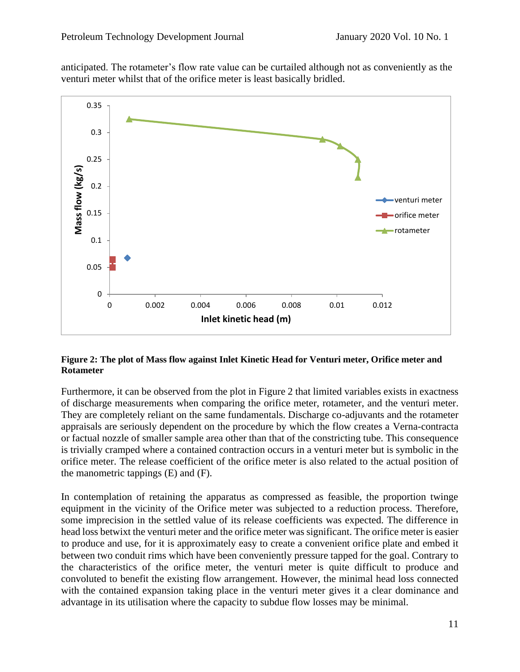anticipated. The rotameter's flow rate value can be curtailed although not as conveniently as the venturi meter whilst that of the orifice meter is least basically bridled.



## **Figure 2: The plot of Mass flow against Inlet Kinetic Head for Venturi meter, Orifice meter and Rotameter**

Furthermore, it can be observed from the plot in Figure 2 that limited variables exists in exactness of discharge measurements when comparing the orifice meter, rotameter, and the venturi meter. They are completely reliant on the same fundamentals. Discharge co-adjuvants and the rotameter appraisals are seriously dependent on the procedure by which the flow creates a Verna-contracta or factual nozzle of smaller sample area other than that of the constricting tube. This consequence is trivially cramped where a contained contraction occurs in a venturi meter but is symbolic in the orifice meter. The release coefficient of the orifice meter is also related to the actual position of the manometric tappings (E) and (F).

In contemplation of retaining the apparatus as compressed as feasible, the proportion twinge equipment in the vicinity of the Orifice meter was subjected to a reduction process. Therefore, some imprecision in the settled value of its release coefficients was expected. The difference in head loss betwixt the venturi meter and the orifice meter was significant. The orifice meter is easier to produce and use, for it is approximately easy to create a convenient orifice plate and embed it between two conduit rims which have been conveniently pressure tapped for the goal. Contrary to the characteristics of the orifice meter, the venturi meter is quite difficult to produce and convoluted to benefit the existing flow arrangement. However, the minimal head loss connected with the contained expansion taking place in the venturi meter gives it a clear dominance and advantage in its utilisation where the capacity to subdue flow losses may be minimal.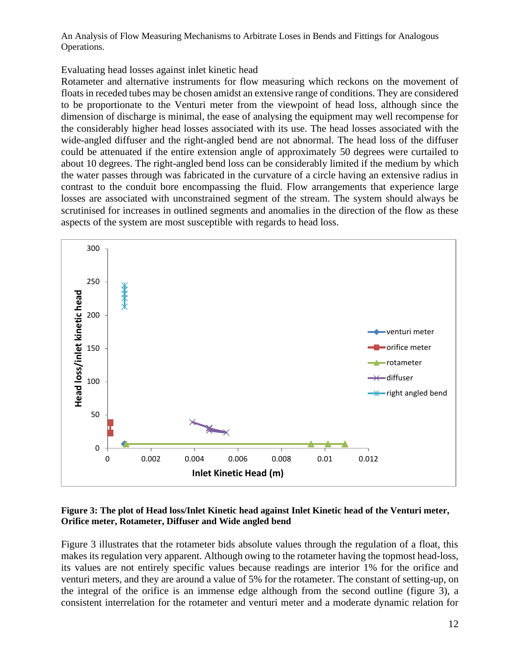## Evaluating head losses against inlet kinetic head

Rotameter and alternative instruments for flow measuring which reckons on the movement of floats in receded tubes may be chosen amidst an extensive range of conditions. They are considered to be proportionate to the Venturi meter from the viewpoint of head loss, although since the dimension of discharge is minimal, the ease of analysing the equipment may well recompense for the considerably higher head losses associated with its use. The head losses associated with the wide-angled diffuser and the right-angled bend are not abnormal. The head loss of the diffuser could be attenuated if the entire extension angle of approximately 50 degrees were curtailed to about 10 degrees. The right-angled bend loss can be considerably limited if the medium by which the water passes through was fabricated in the curvature of a circle having an extensive radius in contrast to the conduit bore encompassing the fluid. Flow arrangements that experience large losses are associated with unconstrained segment of the stream. The system should always be scrutinised for increases in outlined segments and anomalies in the direction of the flow as these aspects of the system are most susceptible with regards to head loss.



#### **Figure 3: The plot of Head loss/Inlet Kinetic head against Inlet Kinetic head of the Venturi meter, Orifice meter, Rotameter, Diffuser and Wide angled bend**

Figure 3 illustrates that the rotameter bids absolute values through the regulation of a float, this makes its regulation very apparent. Although owing to the rotameter having the topmost head-loss, its values are not entirely specific values because readings are interior 1% for the orifice and venturi meters, and they are around a value of 5% for the rotameter. The constant of setting-up, on the integral of the orifice is an immense edge although from the second outline (figure 3), a consistent interrelation for the rotameter and venturi meter and a moderate dynamic relation for